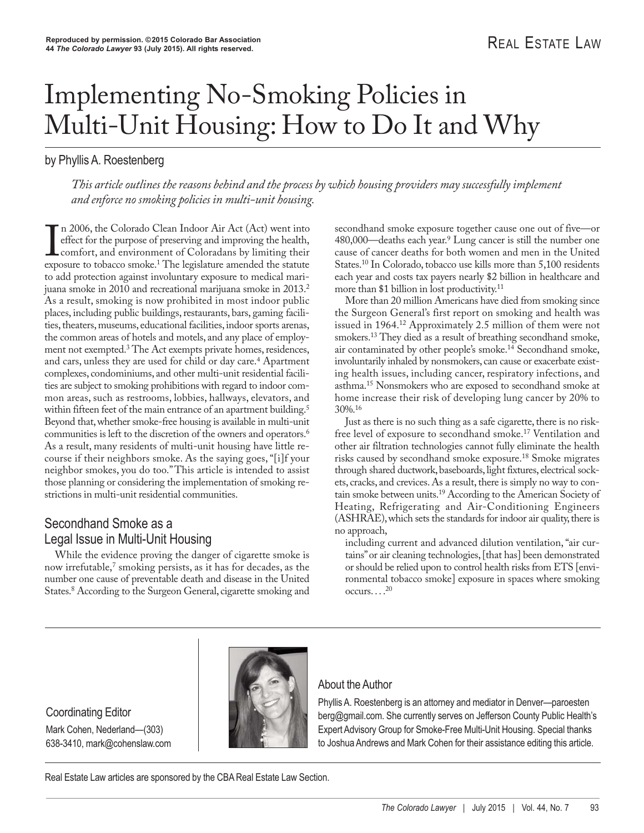# Implementing No-Smoking Policies in Multi-Unit Housing: How to Do It and Why

# by Phyllis A. Roestenberg

*This article outlines the reasons behind and the process by which housing providers may successfully implement and enforce no smoking policies in multi-unit housing.*

In 2006, the Colorado Clean Indoor Air Act (Act) went into effect for the purpose of preserving and improving the health, comfort, and environment of Coloradans by limiting their exposure to tobacco smoke.<sup>1</sup> The legislatu n 2006, the Colorado Clean Indoor Air Act (Act) went into effect for the purpose of preserving and improving the health, comfort, and environment of Coloradans by limiting their to add protection against involuntary exposure to medical marijuana smoke in 2010 and recreational marijuana smoke in 2013.<sup>2</sup> As a result, smoking is now prohibited in most indoor public places, including public buildings, restaurants, bars, gaming facilities, theaters, museums, educational facilities, indoor sports arenas, the common areas of hotels and motels, and any place of employment not exempted.<sup>3</sup> The Act exempts private homes, residences, and cars, unless they are used for child or day care.<sup>4</sup> Apartment complexes, condominiums, and other multi-unit residential facilities are subject to smoking prohibitions with regard to indoor common areas, such as restrooms, lobbies, hallways, elevators, and within fifteen feet of the main entrance of an apartment building.<sup>5</sup> Beyond that, whether smoke-free housing is available in multi-unit communities is left to the discretion of the owners and operators.<sup>6</sup> As a result, many residents of multi-unit housing have little recourse if their neighbors smoke. As the saying goes, "[i]f your neighbor smokes, you do too." This article is intended to assist those planning or considering the implementation of smoking restrictions in multi-unit residential communities.

# Secondhand Smoke as a Legal Issue in Multi-Unit Housing

While the evidence proving the danger of cigarette smoke is now irrefutable,<sup>7</sup> smoking persists, as it has for decades, as the number one cause of preventable death and disease in the United States.<sup>8</sup> According to the Surgeon General, cigarette smoking and secondhand smoke exposure together cause one out of five—or 480,000—deaths each year.9 Lung cancer is still the number one cause of cancer deaths for both women and men in the United States.10 In Colorado, tobacco use kills more than 5,100 residents each year and costs tax payers nearly \$2 billion in healthcare and more than \$1 billion in lost productivity.11

More than 20 million Americans have died from smoking since the Surgeon General's first report on smoking and health was issued in 1964.12 Approximately 2.5 million of them were not smokers.13 They died as a result of breathing secondhand smoke, air contaminated by other people's smoke.14 Secondhand smoke, involuntarily inhaled by nonsmokers, can cause or exacerbate existing health issues, including cancer, respiratory infections, and asthma.15 Nonsmokers who are exposed to secondhand smoke at home increase their risk of developing lung cancer by 20% to 30%.16

Just as there is no such thing as a safe cigarette, there is no riskfree level of exposure to secondhand smoke.<sup>17</sup> Ventilation and other air filtration technologies cannot fully eliminate the health risks caused by secondhand smoke exposure.18 Smoke migrates through shared ductwork, baseboards, light fixtures, electrical sockets, cracks, and crevices. As a result, there is simply no way to contain smoke between units.19 According to the American Society of Heating, Refrigerating and Air-Conditioning Engineers (ASHRAE), which sets the standards for indoor air quality, there is no approach,

including current and advanced dilution ventilation, "air curtains" or air cleaning technologies, [that has] been demonstrated or should be relied upon to control health risks from ETS [environmental tobacco smoke] exposure in spaces where smoking  $occurs. \ldots^{20}$ 

#### Coordinating Editor Mark Cohen, Nederland—(303) 638-3410, mark@cohenslaw.com



#### About the Author

Phyllis A. Roestenberg is an attorney and mediator in Denver—paroesten berg@gmail.com. She currently serves on Jefferson County Public Health's Expert Advisory Group for Smoke-Free Multi-Unit Housing. Special thanks to Joshua Andrews and Mark Cohen for their assistance editing this article.

Real Estate Law articles are sponsored by the CBA Real Estate Law Section.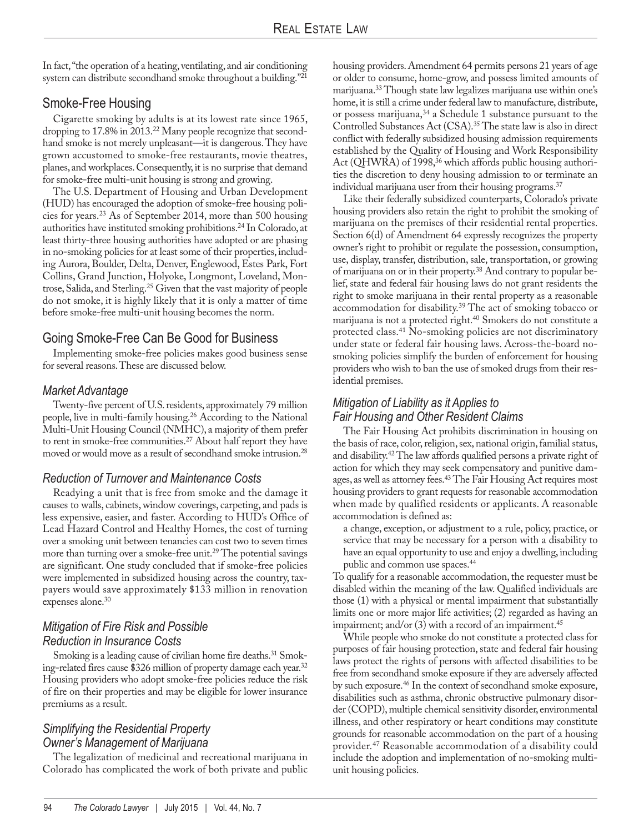In fact, "the operation of a heating, ventilating, and air conditioning system can distribute secondhand smoke throughout a building."21

# Smoke-Free Housing

Cigarette smoking by adults is at its lowest rate since 1965, dropping to 17.8% in 2013.<sup>22</sup> Many people recognize that secondhand smoke is not merely unpleasant—it is dangerous. They have grown accustomed to smoke-free restaurants, movie theatres, planes, and workplaces. Consequently, it is no surprise that demand for smoke-free multi-unit housing is strong and growing.

The U.S. Department of Housing and Urban Development (HUD) has encouraged the adoption of smoke-free housing policies for years.23 As of September 2014, more than 500 housing authorities have instituted smoking prohibitions.24 In Colorado, at least thirty-three housing authorities have adopted or are phasing in no-smoking policies for at least some of their properties, including Aurora, Boulder, Delta, Denver, Englewood, Estes Park, Fort Collins, Grand Junction, Holyoke, Longmont, Loveland, Montrose, Salida, and Sterling.25 Given that the vast majority of people do not smoke, it is highly likely that it is only a matter of time before smoke-free multi-unit housing becomes the norm.

# Going Smoke-Free Can Be Good for Business

Implementing smoke-free policies makes good business sense for several reasons. These are discussed below.

#### *Market Advantage*

Twenty-five percent of U.S. residents, approximately 79 million people, live in multi-family housing.26 According to the National Multi-Unit Housing Council (NMHC), a majority of them prefer to rent in smoke-free communities.<sup>27</sup> About half report they have moved or would move as a result of secondhand smoke intrusion.28

## *Reduction of Turnover and Maintenance Costs*

Readying a unit that is free from smoke and the damage it causes to walls, cabinets, window coverings, carpeting, and pads is less expensive, easier, and faster. According to HUD's Office of Lead Hazard Control and Healthy Homes, the cost of turning over a smoking unit between tenancies can cost two to seven times more than turning over a smoke-free unit.<sup>29</sup> The potential savings are significant. One study concluded that if smoke-free policies were implemented in subsidized housing across the country, taxpayers would save approximately \$133 million in renovation expenses alone.<sup>30</sup>

#### *Mitigation of Fire Risk and Possible Reduction in Insurance Costs*

Smoking is a leading cause of civilian home fire deaths.<sup>31</sup> Smoking-related fires cause \$326 million of property damage each year.32 Housing providers who adopt smoke-free policies reduce the risk of fire on their properties and may be eligible for lower insurance premiums as a result.

#### *Simplifying the Residential Property Owner's Management of Marijuana*

The legalization of medicinal and recreational marijuana in Colorado has complicated the work of both private and public housing providers. Amendment 64 permits persons 21 years of age or older to consume, home-grow, and possess limited amounts of marijuana.33 Though state law legalizes marijuana use within one's home, it is still a crime under federal law to manufacture, distribute, or possess marijuana,<sup>34</sup> a Schedule 1 substance pursuant to the Controlled Substances Act (CSA).35 The state law is also in direct conflict with federally subsidized housing admission requirements established by the Quality of Housing and Work Responsibility Act (QHWRA) of 1998,<sup>36</sup> which affords public housing authorities the discretion to deny housing admission to or terminate an individual marijuana user from their housing programs.<sup>37</sup>

Like their federally subsidized counterparts, Colorado's private housing providers also retain the right to prohibit the smoking of marijuana on the premises of their residential rental properties. Section 6(d) of Amendment 64 expressly recognizes the property owner's right to prohibit or regulate the possession, consumption, use, display, transfer, distribution, sale, transportation, or growing of marijuana on or in their property.38 And contrary to popular be lief, state and federal fair housing laws do not grant residents the right to smoke marijuana in their rental property as a reasonable accommodation for disability.39 The act of smoking tobacco or marijuana is not a protected right.40 Smokers do not constitute a protected class.41 No-smoking policies are not discriminatory under state or federal fair housing laws. Across-the-board nosmoking policies simplify the burden of enforcement for housing providers who wish to ban the use of smoked drugs from their residential premises.

## *Mitigation of Liability as it Applies to Fair Housing and Other Resident Claims*

The Fair Housing Act prohibits discrimination in housing on the basis of race, color, religion, sex, national origin, familial status, and disability.42 The law affords qualified persons a private right of action for which they may seek compensatory and punitive damages, as well as attorney fees.43 The Fair Housing Act requires most housing providers to grant requests for reasonable accommodation when made by qualified residents or applicants. A reasonable accommodation is defined as:

a change, exception, or adjustment to a rule, policy, practice, or service that may be necessary for a person with a disability to have an equal opportunity to use and enjoy a dwelling, including public and common use spaces.<sup>44</sup>

To qualify for a reasonable accommodation, the requester must be disabled within the meaning of the law. Qualified individuals are those (1) with a physical or mental impairment that substantially limits one or more major life activities; (2) regarded as having an impairment; and/or  $(3)$  with a record of an impairment.<sup>45</sup>

While people who smoke do not constitute a protected class for purposes of fair housing protection, state and federal fair housing laws protect the rights of persons with affected disabilities to be free from secondhand smoke exposure if they are adversely affected by such exposure.46 In the context of secondhand smoke exposure, disabilities such as asthma, chronic obstructive pulmonary disorder (COPD), multiple chemical sensitivity disorder, environmental illness, and other respiratory or heart conditions may constitute grounds for reasonable accommodation on the part of a housing provider.47 Reasonable accommodation of a disability could include the adoption and implementation of no-smoking multiunit housing policies.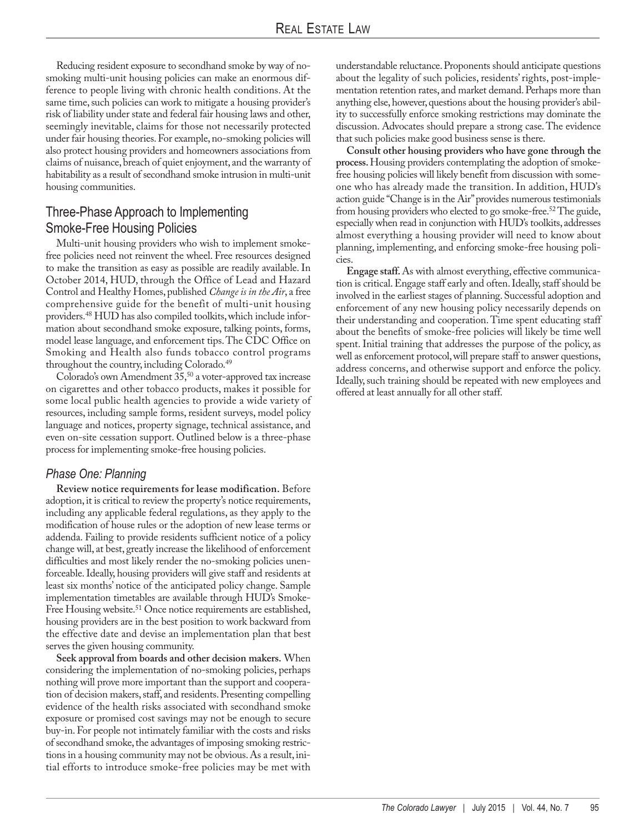Reducing resident exposure to secondhand smoke by way of nosmoking multi-unit housing policies can make an enormous difference to people living with chronic health conditions. At the same time, such policies can work to mitigate a housing provider's risk of liability under state and federal fair housing laws and other, seemingly inevitable, claims for those not necessarily protected under fair housing theories. For example, no-smoking policies will also protect housing providers and homeowners associations from claims of nuisance, breach of quiet enjoyment, and the warranty of habitability as a result of secondhand smoke intrusion in multi-unit housing communities.

## Three-Phase Approach to Implementing Smoke-Free Housing Policies

Multi-unit housing providers who wish to implement smokefree policies need not reinvent the wheel. Free resources designed to make the transition as easy as possible are readily available. In October 2014, HUD, through the Office of Lead and Hazard Control and Healthy Homes, published *Change is in the Air*, a free comprehensive guide for the benefit of multi-unit housing providers.48 HUD has also compiled toolkits, which include information about secondhand smoke exposure, talking points, forms, model lease language, and enforcement tips. The CDC Office on Smoking and Health also funds tobacco control programs throughout the country, including Colorado.<sup>49</sup>

Colorado's own Amendment 35,50 a voter-approved tax increase on cigarettes and other tobacco products, makes it possible for some local public health agencies to provide a wide variety of resources, including sample forms, resident surveys, model policy language and notices, property signage, technical assistance, and even on-site cessation support. Outlined below is a three-phase process for implementing smoke-free housing policies.

#### *Phase One: Planning*

**Review notice requirements for lease modification.** Before adoption, it is critical to review the property's notice requirements, including any applicable federal regulations, as they apply to the modification of house rules or the adoption of new lease terms or addenda. Failing to provide residents sufficient notice of a policy change will, at best, greatly increase the likelihood of enforcement difficulties and most likely render the no-smoking policies unenforceable. Ideally, housing providers will give staff and residents at least six months' notice of the anticipated policy change. Sample implementation timetables are available through HUD's Smoke-Free Housing website.<sup>51</sup> Once notice requirements are established, housing providers are in the best position to work backward from the effective date and devise an implementation plan that best serves the given housing community.

**Seek approval from boards and other decision makers.** When considering the implementation of no-smoking policies, perhaps nothing will prove more important than the support and cooperation of decision makers, staff, and residents. Presenting compelling evidence of the health risks associated with secondhand smoke exposure or promised cost savings may not be enough to secure buy-in. For people not intimately familiar with the costs and risks of secondhand smoke, the advantages of imposing smoking restrictions in a housing community may not be obvious. As a result, initial efforts to introduce smoke-free policies may be met with

understandable reluctance. Proponents should anticipate questions about the legality of such policies, residents' rights, post-implementation retention rates, and market demand. Perhaps more than anything else, however, questions about the housing provider's ability to successfully enforce smoking restrictions may dominate the discussion. Advocates should prepare a strong case. The evidence that such policies make good business sense is there.

**Consult other housing providers who have gone through the process.** Housing providers contemplating the adoption of smokefree housing policies will likely benefit from discussion with someone who has already made the transition. In addition, HUD's action guide "Change is in the Air" provides numerous testimonials from housing providers who elected to go smoke-free.52 The guide, especially when read in conjunction with HUD's toolkits, addresses almost everything a housing provider will need to know about planning, implementing, and enforcing smoke-free housing policies.

**Engage staff.** As with almost everything, effective communication is critical. Engage staff early and often. Ideally, staff should be involved in the earliest stages of planning. Successful adoption and enforcement of any new housing policy necessarily depends on their understanding and cooperation. Time spent educating staff about the benefits of smoke-free policies will likely be time well spent. Initial training that addresses the purpose of the policy, as well as enforcement protocol, will prepare staff to answer questions, address concerns, and otherwise support and enforce the policy. Ideally, such training should be repeated with new employees and offered at least annually for all other staff.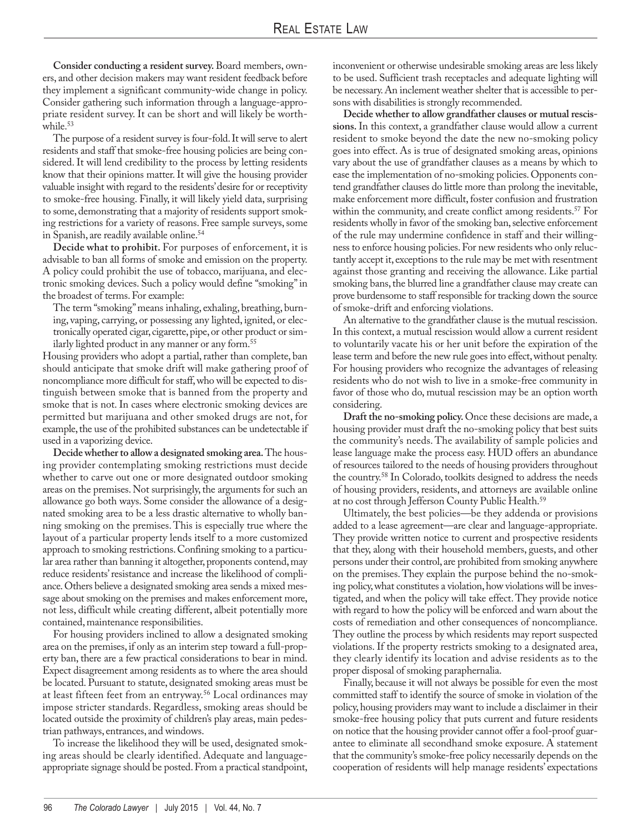**Consider conducting a resident survey.** Board members, owners, and other decision makers may want resident feedback before they implement a significant community-wide change in policy. Consider gathering such information through a language-appropriate resident survey. It can be short and will likely be worthwhile.<sup>53</sup>

The purpose of a resident survey is four-fold. It will serve to alert residents and staff that smoke-free housing policies are being considered. It will lend credibility to the process by letting residents know that their opinions matter. It will give the housing provider valuable insight with regard to the residents' desire for or receptivity to smoke-free housing. Finally, it will likely yield data, surprising to some, demonstrating that a majority of residents support smoking restrictions for a variety of reasons. Free sample surveys, some in Spanish, are readily available online.54

**Decide what to prohibit.** For purposes of enforcement, it is advisable to ban all forms of smoke and emission on the property. A policy could prohibit the use of tobacco, marijuana, and electronic smoking devices. Such a policy would define "smoking" in the broadest of terms. For example:

The term "smoking" means inhaling, exhaling, breathing, burning, vaping, carrying, or possessing any lighted, ignited, or electronically operated cigar, cigarette, pipe, or other product or similarly lighted product in any manner or any form.55

Housing providers who adopt a partial, rather than complete, ban should anticipate that smoke drift will make gathering proof of noncompliance more difficult for staff, who will be expected to distinguish between smoke that is banned from the property and smoke that is not. In cases where electronic smoking devices are permitted but marijuana and other smoked drugs are not, for example, the use of the prohibited substances can be undetectable if used in a vaporizing device.

**Decide whether to allow a designated smoking area.** The housing provider contemplating smoking restrictions must decide whether to carve out one or more designated outdoor smoking areas on the premises. Not surprisingly, the arguments for such an allowance go both ways. Some consider the allowance of a designated smoking area to be a less drastic alternative to wholly banning smoking on the premises. This is especially true where the layout of a particular property lends itself to a more customized approach to smoking restrictions. Confining smoking to a particular area rather than banning it altogether, proponents contend, may reduce residents' resistance and increase the likelihood of compliance. Others believe a designated smoking area sends a mixed message about smoking on the premises and makes enforcement more, not less, difficult while creating different, albeit potentially more contained, maintenance responsibilities.

For housing providers inclined to allow a designated smoking area on the premises, if only as an interim step toward a full-property ban, there are a few practical considerations to bear in mind. Expect disagreement among residents as to where the area should be located. Pursuant to statute, designated smoking areas must be at least fifteen feet from an entryway.<sup>56</sup> Local ordinances may impose stricter standards. Regardless, smoking areas should be located outside the proximity of children's play areas, main pedestrian pathways, entrances, and windows.

To increase the likelihood they will be used, designated smoking areas should be clearly identified. Adequate and languageappropriate signage should be posted. From a practical standpoint, inconvenient or otherwise undesirable smoking areas are less likely to be used. Sufficient trash receptacles and adequate lighting will be necessary. An inclement weather shelter that is accessible to persons with disabilities is strongly recommended.

**Decide whether to allow grandfather clauses or mutual rescissions.** In this context, a grandfather clause would allow a current resident to smoke beyond the date the new no-smoking policy goes into effect. As is true of designated smoking areas, opinions vary about the use of grandfather clauses as a means by which to ease the implementation of no-smoking policies. Opponents contend grandfather clauses do little more than prolong the inevitable, make enforcement more difficult, foster confusion and frustration within the community, and create conflict among residents.<sup>57</sup> For residents wholly in favor of the smoking ban, selective enforcement of the rule may undermine confidence in staff and their willingness to enforce housing policies. For new residents who only reluctantly accept it, exceptions to the rule may be met with resentment against those granting and receiving the allowance. Like partial smoking bans, the blurred line a grandfather clause may create can prove burdensome to staff responsible for tracking down the source of smoke-drift and enforcing violations.

An alternative to the grandfather clause is the mutual rescission. In this context, a mutual rescission would allow a current resident to voluntarily vacate his or her unit before the expiration of the lease term and before the new rule goes into effect, without penalty. For housing providers who recognize the advantages of releasing residents who do not wish to live in a smoke-free community in favor of those who do, mutual rescission may be an option worth considering.

**Draft the no-smoking policy.** Once these decisions are made, a housing provider must draft the no-smoking policy that best suits the community's needs. The availability of sample policies and lease language make the process easy. HUD offers an abundance of resources tailored to the needs of housing providers throughout the country.58 In Colorado, toolkits designed to address the needs of housing providers, residents, and attorneys are available online at no cost through Jefferson County Public Health.59

Ultimately, the best policies—be they addenda or provisions added to a lease agreement—are clear and language-appropriate. They provide written notice to current and prospective residents that they, along with their household members, guests, and other persons under their control, are prohibited from smoking anywhere on the premises. They explain the purpose behind the no-smoking policy, what constitutes a violation, how violations will be investigated, and when the policy will take effect. They provide notice with regard to how the policy will be enforced and warn about the costs of remediation and other consequences of noncompliance. They outline the process by which residents may report suspected violations. If the property restricts smoking to a designated area, they clearly identify its location and advise residents as to the proper disposal of smoking paraphernalia.

Finally, because it will not always be possible for even the most committed staff to identify the source of smoke in violation of the policy, housing providers may want to include a disclaimer in their smoke-free housing policy that puts current and future residents on notice that the housing provider cannot offer a fool-proof guarantee to eliminate all secondhand smoke exposure. A statement that the community's smoke-free policy necessarily depends on the cooperation of residents will help manage residents' expectations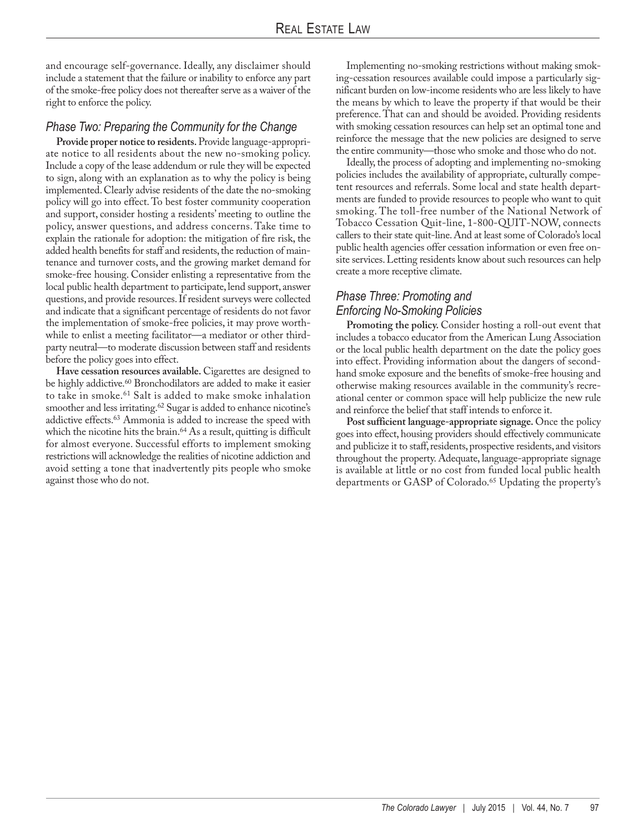and encourage self-governance. Ideally, any disclaimer should include a statement that the failure or inability to enforce any part of the smoke-free policy does not thereafter serve as a waiver of the right to enforce the policy.

#### *Phase Two: Preparing the Community for the Change*

**Provide proper notice to residents.** Provide language-appropriate notice to all residents about the new no-smoking policy. Include a copy of the lease addendum or rule they will be expected to sign, along with an explanation as to why the policy is being implemented. Clearly advise residents of the date the no-smoking policy will go into effect. To best foster community cooperation and support, consider hosting a residents' meeting to outline the policy, answer questions, and address concerns. Take time to explain the rationale for adoption: the mitigation of fire risk, the added health benefits for staff and residents, the reduction of maintenance and turnover costs, and the growing market demand for smoke-free housing. Consider enlisting a representative from the local public health department to participate, lend support, answer questions, and provide resources. If resident surveys were collected and indicate that a significant percentage of residents do not favor the implementation of smoke-free policies, it may prove worthwhile to enlist a meeting facilitator—a mediator or other thirdparty neutral—to moderate discussion between staff and residents before the policy goes into effect.

**Have cessation resources available.** Cigarettes are designed to be highly addictive.<sup>60</sup> Bronchodilators are added to make it easier to take in smoke.61 Salt is added to make smoke inhalation smoother and less irritating.<sup>62</sup> Sugar is added to enhance nicotine's addictive effects.63 Ammonia is added to increase the speed with which the nicotine hits the brain.<sup>64</sup> As a result, quitting is difficult for almost everyone. Successful efforts to implement smoking restrictions will acknowledge the realities of nicotine addiction and avoid setting a tone that inadvertently pits people who smoke against those who do not.

Implementing no-smoking restrictions without making smoking-cessation resources available could impose a particularly significant burden on low-income residents who are less likely to have the means by which to leave the property if that would be their preference. That can and should be avoided. Providing residents with smoking cessation resources can help set an optimal tone and reinforce the message that the new policies are designed to serve the entire community—those who smoke and those who do not.

Ideally, the process of adopting and implementing no-smoking policies includes the availability of appropriate, culturally competent resources and referrals. Some local and state health departments are funded to provide resources to people who want to quit smoking. The toll-free number of the National Network of Tobacco Cessation Quit-line, 1-800-QUIT-NOW, connects callers to their state quit-line. And at least some of Colorado's local public health agencies offer cessation information or even free onsite services. Letting residents know about such resources can help create a more receptive climate.

#### *Phase Three: Promoting and Enforcing No-Smoking Policies*

**Promoting the policy.** Consider hosting a roll-out event that includes a tobacco educator from the American Lung Association or the local public health department on the date the policy goes into effect. Providing information about the dangers of secondhand smoke exposure and the benefits of smoke-free housing and otherwise making resources available in the community's recreational center or common space will help publicize the new rule and reinforce the belief that staff intends to enforce it.

**Post sufficient language-appropriate signage.** Once the policy goes into effect, housing providers should effectively communicate and publicize it to staff, residents, prospective residents, and visitors throughout the property. Adequate, language-appropriate signage is available at little or no cost from funded local public health departments or GASP of Colorado.65 Updating the property's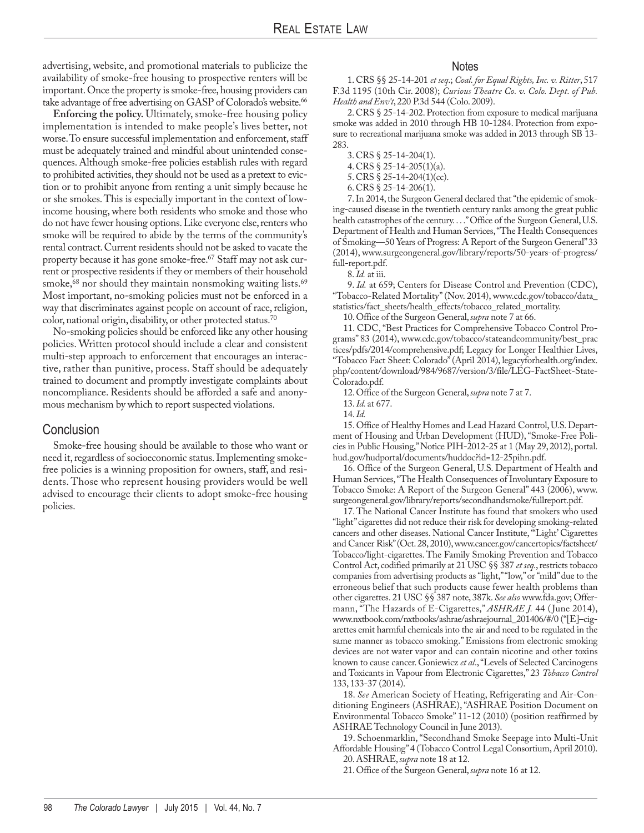advertising, website, and promotional materials to publicize the availability of smoke-free housing to prospective renters will be important. Once the property is smoke-free, housing providers can take advantage of free advertising on GASP of Colorado's website.<sup>66</sup>

**Enforcing the policy.** Ultimately, smoke-free housing policy implementation is intended to make people's lives better, not worse. To ensure successful implementation and enforcement, staff must be adequately trained and mindful about unintended consequences. Although smoke-free policies establish rules with regard to prohibited activities, they should not be used as a pretext to eviction or to prohibit anyone from renting a unit simply because he or she smokes. This is especially important in the context of lowincome housing, where both residents who smoke and those who do not have fewer housing options. Like everyone else, renters who smoke will be required to abide by the terms of the community's rental contract. Current residents should not be asked to vacate the property because it has gone smoke-free.<sup>67</sup> Staff may not ask current or prospective residents if they or members of their household smoke,<sup>68</sup> nor should they maintain nonsmoking waiting lists.<sup>69</sup> Most important, no-smoking policies must not be enforced in a way that discriminates against people on account of race, religion, color, national origin, disability, or other protected status.70

No-smoking policies should be enforced like any other housing policies. Written protocol should include a clear and consistent multi-step approach to enforcement that encourages an interactive, rather than punitive, process. Staff should be adequately trained to document and promptly investigate complaints about noncompliance. Residents should be afforded a safe and anonymous mechanism by which to report suspected violations.

#### Conclusion

Smoke-free housing should be available to those who want or need it, regardless of socioeconomic status. Implementing smokefree policies is a winning proposition for owners, staff, and residents. Those who represent housing providers would be well advised to encourage their clients to adopt smoke-free housing policies.

#### Notes

1. CRS §§ 25-14-201 *et seq*.; *Coal. for Equal Rights, Inc. v. Ritter*, 517 F.3d 1195 (10th Cir. 2008); *Curious Theatre Co. v. Colo. Dept. of Pub. Health and Env't*, 220 P.3d 544 (Colo. 2009).

2. CRS § 25-14-202. Protection from exposure to medical marijuana smoke was added in 2010 through HB 10-1284. Protection from exposure to recreational marijuana smoke was added in 2013 through SB 13- 283.

3. CRS § 25-14-204(1).

4. CRS § 25-14-205(1)(a).

5. CRS § 25-14-204(1)(cc).

6. CRS § 25-14-206(1).

7. In 2014, the Surgeon General declared that "the epidemic of smoking-caused disease in the twentieth century ranks among the great public health catastrophes of the century. . . ." Office of the Surgeon General, U.S. Department of Health and Human Services, "The Health Consequences of Smoking—50 Years of Progress: A Report of the Surgeon General" 33 (2014), www.surgeongeneral.gov/library/reports/50-years-of-progress/ full-report.pdf.

8. *Id.* at iii.

9. *Id.* at 659; Centers for Disease Control and Prevention (CDC), "Tobacco-Related Mortality" (Nov. 2014), www.cdc.gov/tobacco/data\_ statistics/fact\_sheets/health\_effects/tobacco\_related\_mortality.

10. Office of the Surgeon General, *supra* note 7 at 66.

11. CDC, "Best Practices for Comprehensive Tobacco Control Programs" 83 (2014), www.cdc.gov/tobacco/stateandcommunity/best\_prac tices/pdfs/2014/comprehensive.pdf; Legacy for Longer Healthier Lives, "Tobacco Fact Sheet: Colorado" (April 2014), legacyforhealth.org/index. php/content/download/984/9687/version/3/file/LEG-FactSheet-State-Colorado.pdf.

12. Office of the Surgeon General, *supra* note 7 at 7.

13. *Id.* at 677.

14. *Id.*

15. Office of Healthy Homes and Lead Hazard Control, U.S. Department of Housing and Urban Development (HUD), "Smoke-Free Policies in Public Housing," Notice PIH-2012-25 at 1 (May 29, 2012), portal. hud.gov/hudportal/documents/huddoc?id=12-25pihn.pdf.

16. Office of the Surgeon General, U.S. Department of Health and Human Services, "The Health Consequences of Involuntary Exposure to Tobacco Smoke: A Report of the Surgeon General" 443 (2006), www. surgeongeneral.gov/library/reports/secondhandsmoke/fullreport.pdf.

17. The National Cancer Institute has found that smokers who used "light" cigarettes did not reduce their risk for developing smoking-related cancers and other diseases. National Cancer Institute, "'Light' Cigarettes and Cancer Risk" (Oct. 28, 2010), www.cancer.gov/cancertopics/factsheet/ Tobacco/light-cigarettes. The Family Smoking Prevention and Tobacco Control Act, codified primarily at 21 USC §§ 387 *et seq.*, restricts tobacco companies from advertising products as "light," "low," or "mild" due to the erroneous belief that such products cause fewer health problems than other cigarettes. 21 USC §§ 387 note, 387k. *See also* www.fda.gov; Offermann, "The Hazards of E-Cigarettes," *ASHRAE J.* 44 ( June 2014), www.nxtbook.com/nxtbooks/ashrae/ashraejournal\_201406/#/0 ("[E]–cigarettes emit harmful chemicals into the air and need to be regulated in the same manner as tobacco smoking." Emissions from electronic smoking devices are not water vapor and can contain nicotine and other toxins known to cause cancer. Goniewicz *et al*., "Levels of Selected Carcinogens and Toxicants in Vapour from Electronic Cigarettes," 23 *Tobacco Control* 133, 133-37 (2014).

18. *See* American Society of Heating, Refrigerating and Air-Con ditioning Engineers (ASHRAE), "ASHRAE Position Document on Environmental Tobacco Smoke" 11-12 (2010) (position reaffirmed by ASHRAE Technology Council in June 2013).

19. Schoenmarklin, "Secondhand Smoke Seepage into Multi-Unit Affordable Housing" 4 (Tobacco Control Legal Consortium, April 2010). 20. ASHRAE, *supra* note 18 at 12.

21. Office of the Surgeon General, *supra* note 16 at 12.